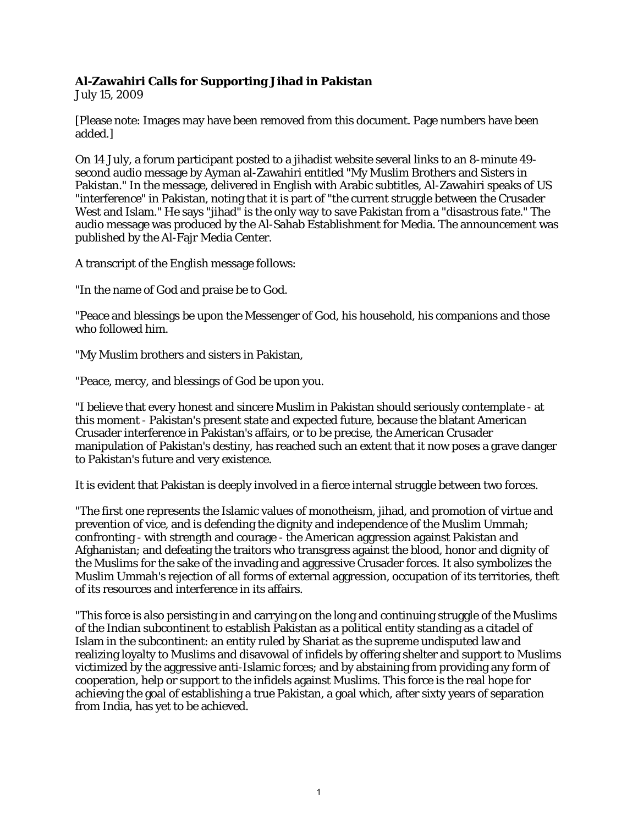## **Al-Zawahiri Calls for Supporting Jihad in Pakistan**

July 15, 2009

[Please note: Images may have been removed from this document. Page numbers have been added.]

On 14 July, a forum participant posted to a jihadist website several links to an 8-minute 49 second audio message by Ayman al-Zawahiri entitled "My Muslim Brothers and Sisters in Pakistan." In the message, delivered in English with Arabic subtitles, Al-Zawahiri speaks of US "interference" in Pakistan, noting that it is part of "the current struggle between the Crusader West and Islam." He says "jihad" is the only way to save Pakistan from a "disastrous fate." The audio message was produced by the Al-Sahab Establishment for Media. The announcement was published by the Al-Fajr Media Center.

A transcript of the English message follows:

"In the name of God and praise be to God.

"Peace and blessings be upon the Messenger of God, his household, his companions and those who followed him.

"My Muslim brothers and sisters in Pakistan,

"Peace, mercy, and blessings of God be upon you.

"I believe that every honest and sincere Muslim in Pakistan should seriously contemplate - at this moment - Pakistan's present state and expected future, because the blatant American Crusader interference in Pakistan's affairs, or to be precise, the American Crusader manipulation of Pakistan's destiny, has reached such an extent that it now poses a grave danger to Pakistan's future and very existence.

It is evident that Pakistan is deeply involved in a fierce internal struggle between two forces.

"The first one represents the Islamic values of monotheism, jihad, and promotion of virtue and prevention of vice, and is defending the dignity and independence of the Muslim Ummah; confronting - with strength and courage - the American aggression against Pakistan and Afghanistan; and defeating the traitors who transgress against the blood, honor and dignity of the Muslims for the sake of the invading and aggressive Crusader forces. It also symbolizes the Muslim Ummah's rejection of all forms of external aggression, occupation of its territories, theft of its resources and interference in its affairs.

"This force is also persisting in and carrying on the long and continuing struggle of the Muslims of the Indian subcontinent to establish Pakistan as a political entity standing as a citadel of Islam in the subcontinent: an entity ruled by Shariat as the supreme undisputed law and realizing loyalty to Muslims and disavowal of infidels by offering shelter and support to Muslims victimized by the aggressive anti-Islamic forces; and by abstaining from providing any form of cooperation, help or support to the infidels against Muslims. This force is the real hope for achieving the goal of establishing a true Pakistan, a goal which, after sixty years of separation from India, has yet to be achieved.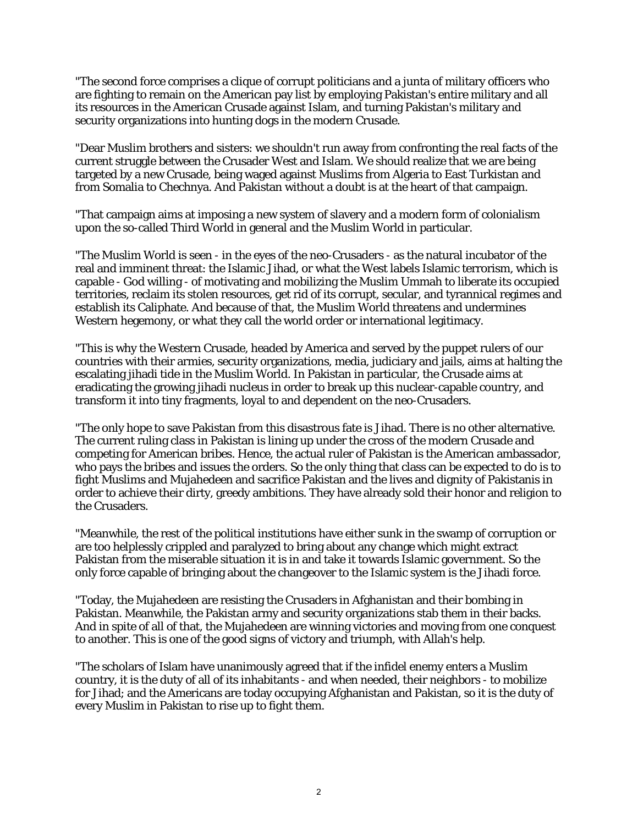"The second force comprises a clique of corrupt politicians and a junta of military officers who are fighting to remain on the American pay list by employing Pakistan's entire military and all its resources in the American Crusade against Islam, and turning Pakistan's military and security organizations into hunting dogs in the modern Crusade.

"Dear Muslim brothers and sisters: we shouldn't run away from confronting the real facts of the current struggle between the Crusader West and Islam. We should realize that we are being targeted by a new Crusade, being waged against Muslims from Algeria to East Turkistan and from Somalia to Chechnya. And Pakistan without a doubt is at the heart of that campaign.

"That campaign aims at imposing a new system of slavery and a modern form of colonialism upon the so-called Third World in general and the Muslim World in particular.

"The Muslim World is seen - in the eyes of the neo-Crusaders - as the natural incubator of the real and imminent threat: the Islamic Jihad, or what the West labels Islamic terrorism, which is capable - God willing - of motivating and mobilizing the Muslim Ummah to liberate its occupied territories, reclaim its stolen resources, get rid of its corrupt, secular, and tyrannical regimes and establish its Caliphate. And because of that, the Muslim World threatens and undermines Western hegemony, or what they call the world order or international legitimacy.

"This is why the Western Crusade, headed by America and served by the puppet rulers of our countries with their armies, security organizations, media, judiciary and jails, aims at halting the escalating jihadi tide in the Muslim World. In Pakistan in particular, the Crusade aims at eradicating the growing jihadi nucleus in order to break up this nuclear-capable country, and transform it into tiny fragments, loyal to and dependent on the neo-Crusaders.

"The only hope to save Pakistan from this disastrous fate is Jihad. There is no other alternative. The current ruling class in Pakistan is lining up under the cross of the modern Crusade and competing for American bribes. Hence, the actual ruler of Pakistan is the American ambassador, who pays the bribes and issues the orders. So the only thing that class can be expected to do is to fight Muslims and Mujahedeen and sacrifice Pakistan and the lives and dignity of Pakistanis in order to achieve their dirty, greedy ambitions. They have already sold their honor and religion to the Crusaders.

"Meanwhile, the rest of the political institutions have either sunk in the swamp of corruption or are too helplessly crippled and paralyzed to bring about any change which might extract Pakistan from the miserable situation it is in and take it towards Islamic government. So the only force capable of bringing about the changeover to the Islamic system is the Jihadi force.

"Today, the Mujahedeen are resisting the Crusaders in Afghanistan and their bombing in Pakistan. Meanwhile, the Pakistan army and security organizations stab them in their backs. And in spite of all of that, the Mujahedeen are winning victories and moving from one conquest to another. This is one of the good signs of victory and triumph, with Allah's help.

"The scholars of Islam have unanimously agreed that if the infidel enemy enters a Muslim country, it is the duty of all of its inhabitants - and when needed, their neighbors - to mobilize for Jihad; and the Americans are today occupying Afghanistan and Pakistan, so it is the duty of every Muslim in Pakistan to rise up to fight them.